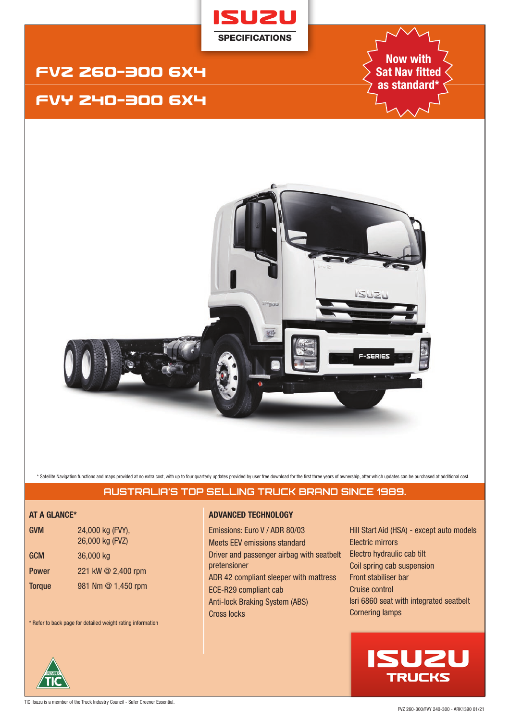

# FVZ 26O-3OO 6X4

# FVY 24O-3OO 6X4

**Now with Sat Nav fitted as standard\***



\* Satellite Navigation functions and maps provided at no extra cost, with up to four quarterly updates provided by user free download for the first three years of ownership, after which updates can be purchased at addition

# **AUSTRALIA'S TOP SELLING TRUCK BRAND SINCE 1989.**

| <b>GVM</b>    | 24,000 kg (FVY),<br>26,000 kg (FVZ) |
|---------------|-------------------------------------|
| <b>GCM</b>    | 36,000 kg                           |
| <b>Power</b>  | 221 kW @ 2,400 rpm                  |
| <b>Torque</b> | 981 Nm @ 1,450 rpm                  |

\* Refer to back page for detailed weight rating information

# **AT A GLANCE\* ADVANCED TECHNOLOGY**

Emissions: Euro V / ADR 80/03 Meets EEV emissions standard Driver and passenger airbag with seatbelt pretensioner ADR 42 compliant sleeper with mattress ECE-R29 compliant cab Anti-lock Braking System (ABS) Cross locks

Hill Start Aid (HSA) - except auto models Electric mirrors Electro hydraulic cab tilt Coil spring cab suspension Front stabiliser bar Cruise control Isri 6860 seat with integrated seatbelt Cornering lamps

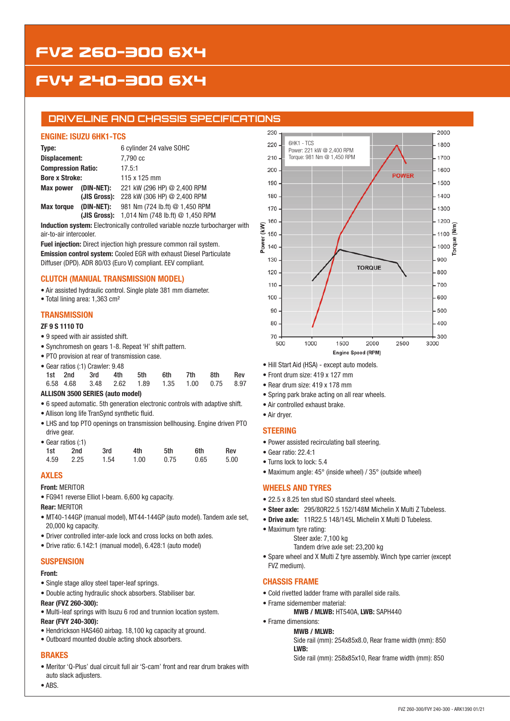# FVZ 26O-3OO 6X4

# FVY 24O-3OO 6X4

# **DRIVELINE AND CHASSIS SPECIFICATIONS**

### **ENGINE: ISUZU 6HK1-TCS**

| Type:                           |              | 6 cylinder 24 valve SOHC         |  |  |  |  |
|---------------------------------|--------------|----------------------------------|--|--|--|--|
| Displacement:                   |              | 7,790 cc                         |  |  |  |  |
| <b>Compression Ratio:</b>       |              | 17.5:1                           |  |  |  |  |
| <b>Bore x Stroke:</b>           |              | 115 x 125 mm                     |  |  |  |  |
| Max power                       | (DIN-NET):   | 221 kW (296 HP) @ 2,400 RPM      |  |  |  |  |
|                                 | (JIS Gross): | 228 kW (306 HP) @ 2,400 RPM      |  |  |  |  |
| (DIN-NET):<br><b>Max torque</b> |              | 981 Nm (724 lb.ft) @ 1,450 RPM   |  |  |  |  |
|                                 | (JIS Gross): | 1,014 Nm (748 lb.ft) @ 1,450 RPM |  |  |  |  |

**Induction system:** Electronically controlled variable nozzle turbocharger with air-to-air intercooler.

**Fuel injection:** Direct injection high pressure common rail system. **Emission control system:** Cooled EGR with exhaust Diesel Particulate Diffuser (DPD). ADR 80/03 (Euro V) compliant. EEV compliant.

# **CLUTCH (MANUAL TRANSMISSION MODEL)**

• Air assisted hydraulic control. Single plate 381 mm diameter.

• Total lining area: 1,363 cm²

# **TRANSMISSION**

#### **ZF 9 S 1110 TO**

- 9 speed with air assisted shift.
- Synchromesh on gears 1-8. Repeat 'H' shift pattern.
- PTO provision at rear of transmission case.

| • Gear ratios (:1) Crawler: 9.48 |                                              |  |  |  |     |     |     |     |  |  |
|----------------------------------|----------------------------------------------|--|--|--|-----|-----|-----|-----|--|--|
|                                  | 1st 2nd 3rd 4th 5th                          |  |  |  | 6th | 7th | 8th | Rev |  |  |
|                                  | 6.58 4.68 3.48 2.62 1.89 1.35 1.00 0.75 8.97 |  |  |  |     |     |     |     |  |  |

# **ALLISON 3500 SERIES (auto model)**

- 6 speed automatic. 5th generation electronic controls with adaptive shift.
- Allison long life TranSynd synthetic fluid.
- LHS and top PTO openings on transmission bellhousing. Engine driven PTO drive gear.

| • Gear ratios $(1)$ |      |      |      |      |      |      |  |  |  |  |
|---------------------|------|------|------|------|------|------|--|--|--|--|
| 1st                 | 2nd  | 3rd  | 4th  | 5th  | 6th  | Rev  |  |  |  |  |
| 4.59                | 2.25 | 1.54 | 1.00 | 0.75 | 0.65 | 5.00 |  |  |  |  |

# **AXLES**

**Front:** MERITOR

• FG941 reverse Elliot I-beam. 6,600 kg capacity.

**Rear:** MERITOR

- MT40-144GP (manual model), MT44-144GP (auto model). Tandem axle set, 20,000 kg capacity.
- Driver controlled inter-axle lock and cross locks on both axles.
- Drive ratio: 6.142:1 (manual model), 6.428:1 (auto model)

# **SUSPENSION**

### **Front:**

- Single stage alloy steel taper-leaf springs.
- Double acting hydraulic shock absorbers. Stabiliser bar.

#### **Rear (FVZ 260-300):**

- Multi-leaf springs with Isuzu 6 rod and trunnion location system.
- **Rear (FVY 240-300):**
- Hendrickson HAS460 airbag. 18,100 kg capacity at ground.
- Outboard mounted double acting shock absorbers.

# **BRAKES**

- Meritor 'Q-Plus' dual circuit full air 'S-cam' front and rear drum brakes with auto slack adjusters.
- ABS.



- Hill Start Aid (HSA) except auto models.
- Front drum size: 419 x 127 mm
- Rear drum size: 419 x 178 mm
- Spring park brake acting on all rear wheels.
- Air controlled exhaust brake.
- Air dryer.

### **STEERING**

- Power assisted recirculating ball steering.
- Gear ratio: 22.4:1
- Turns lock to lock: 5.4
- Maximum angle: 45° (inside wheel) / 35° (outside wheel)

#### **WHEELS AND TYRES**

- 22.5 x 8.25 ten stud ISO standard steel wheels.
- **Steer axle:** 295/80R22.5 152/148M Michelin X Multi Z Tubeless.
- **Drive axle:** 11R22.5 148/145L Michelin X Multi D Tubeless.
- Maximum tyre rating:
	- Steer axle: 7,100 kg
		- Tandem drive axle set: 23,200 kg
- Spare wheel and X Multi Z tyre assembly. Winch type carrier (except FVZ medium).

# **CHASSIS FRAME**

- Cold rivetted ladder frame with parallel side rails.
- Frame sidemember material:
	- **MWB / MLWB:** HT540A, **LWB:** SAPH440
- Frame dimensions:

#### **MWB / MLWB:**

Side rail (mm): 254x85x8.0, Rear frame width (mm): 850 **LWB:** 

Side rail (mm): 258x85x10, Rear frame width (mm): 850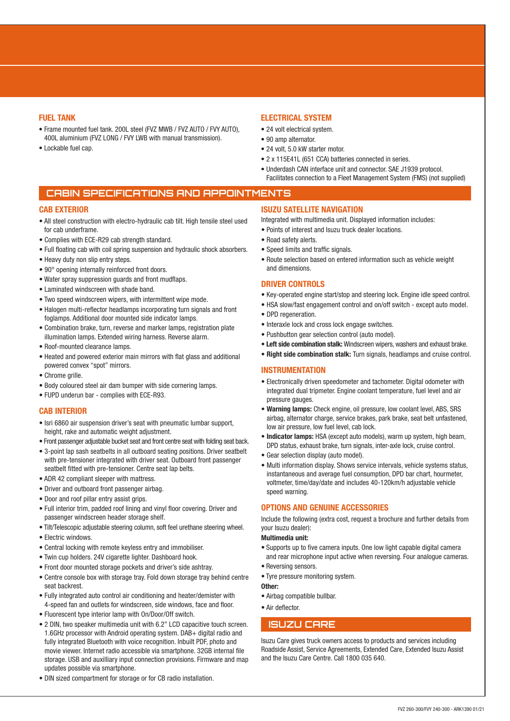#### **FUEL TANK**

- Frame mounted fuel tank. 200L steel (FVZ MWB / FVZ AUTO / FVY AUTO), 400L aluminium (FVZ LONG / FVY LWB with manual transmission).
- Lockable fuel cap.

# **ELECTRICAL SYSTEM**

- 24 volt electrical system.
- 90 amp alternator.
- 24 volt, 5.0 kW starter motor.
- 2 x 115E41L (651 CCA) batteries connected in series.
- Underdash CAN interface unit and connector. SAE J1939 protocol. Facilitates connection to a Fleet Management System (FMS) (not supplied)

# **CABIN SPECIFICATIONS AND APPOINTMENTS**

#### **CAB EXTERIOR**

- All steel construction with electro-hydraulic cab tilt. High tensile steel used for cab underframe.
- Complies with ECE-R29 cab strength standard.
- Full floating cab with coil spring suspension and hydraulic shock absorbers.
- Heavy duty non slip entry steps.
- 90° opening internally reinforced front doors.
- Water spray suppression guards and front mudflaps.
- Laminated windscreen with shade band.
- Two speed windscreen wipers, with intermittent wipe mode.
- Halogen multi-reflector headlamps incorporating turn signals and front foglamps. Additional door mounted side indicator lamps.
- Combination brake, turn, reverse and marker lamps, registration plate illumination lamps. Extended wiring harness. Reverse alarm.
- Roof-mounted clearance lamps.
- Heated and powered exterior main mirrors with flat glass and additional powered convex "spot" mirrors.
- Chrome grille.
- Body coloured steel air dam bumper with side cornering lamps.
- FUPD underun bar complies with ECE-R93.

#### **CAB INTERIOR**

- Isri 6860 air suspension driver's seat with pneumatic lumbar support, height, rake and automatic weight adjustment.
- Front passenger adjustable bucket seat and front centre seat with folding seat back.
- 3-point lap sash seatbelts in all outboard seating positions. Driver seatbelt with pre-tensioner integrated with driver seat. Outboard front passenger seatbelt fitted with pre-tensioner. Centre seat lap belts.
- ADR 42 compliant sleeper with mattress.
- Driver and outboard front passenger airbag.
- Door and roof pillar entry assist grips.
- Full interior trim, padded roof lining and vinyl floor covering. Driver and passenger windscreen header storage shelf.
- Tilt/Telescopic adjustable steering column, soft feel urethane steering wheel.
- Electric windows.
- Central locking with remote keyless entry and immobiliser.
- Twin cup holders. 24V cigarette lighter. Dashboard hook.
- Front door mounted storage pockets and driver's side ashtray.
- Centre console box with storage tray. Fold down storage tray behind centre seat backrest.
- Fully integrated auto control air conditioning and heater/demister with 4-speed fan and outlets for windscreen, side windows, face and floor.
- Fluorescent type interior lamp with On/Door/Off switch.
- 2 DIN, two speaker multimedia unit with 6.2" LCD capacitive touch screen. 1.6GHz processor with Android operating system. DAB+ digital radio and fully integrated Bluetooth with voice recognition. Inbuilt PDF, photo and movie viewer. Internet radio accessible via smartphone. 32GB internal file storage. USB and auxilliary input connection provisions. Firmware and map updates possible via smartphone.
- DIN sized compartment for storage or for CB radio installation.

# **ISUZU SATELLITE NAVIGATION**

Integrated with multimedia unit. Displayed information includes:

- Points of interest and Isuzu truck dealer locations.
- Road safety alerts.
- Speed limits and traffic signals.
- Route selection based on entered information such as vehicle weight and dimensions.

#### **DRIVER CONTROLS**

- Key-operated engine start/stop and steering lock. Engine idle speed control.
- HSA slow/fast engagement control and on/off switch except auto model.
- DPD regeneration.
- Interaxle lock and cross lock engage switches.
- Pushbutton gear selection control (auto model).
- **Left side combination stalk:** Windscreen wipers, washers and exhaust brake.
- **Right side combination stalk:** Turn signals, headlamps and cruise control.

#### **INSTRUMENTATION**

- Electronically driven speedometer and tachometer. Digital odometer with integrated dual tripmeter. Engine coolant temperature, fuel level and air pressure gauges.
- **Warning lamps:** Check engine, oil pressure, low coolant level, ABS, SRS airbag, alternator charge, service brakes, park brake, seat belt unfastened, low air pressure, low fuel level, cab lock.
- **Indicator lamps:** HSA (except auto models), warm up system, high beam, DPD status, exhaust brake, turn signals, inter-axle lock, cruise control.
- Gear selection display (auto model).
- Multi information display. Shows service intervals, vehicle systems status, instantaneous and average fuel consumption, DPD bar chart, hourmeter, voltmeter, time/day/date and includes 40-120km/h adjustable vehicle speed warning.

#### **OPTIONS AND GENUINE ACCESSORIES**

Include the following (extra cost, request a brochure and further details from your Isuzu dealer):

#### **Multimedia unit:**

- Supports up to five camera inputs. One low light capable digital camera and rear microphone input active when reversing. Four analogue cameras.
- Reversing sensors.
- Tyre pressure monitoring system.
- **Other:**
- Airbag compatible bullbar.
- Air deflector.

# **ISUZU CARE**

Isuzu Care gives truck owners access to products and services including Roadside Assist, Service Agreements, Extended Care, Extended Isuzu Assist and the Isuzu Care Centre. Call 1800 035 640.